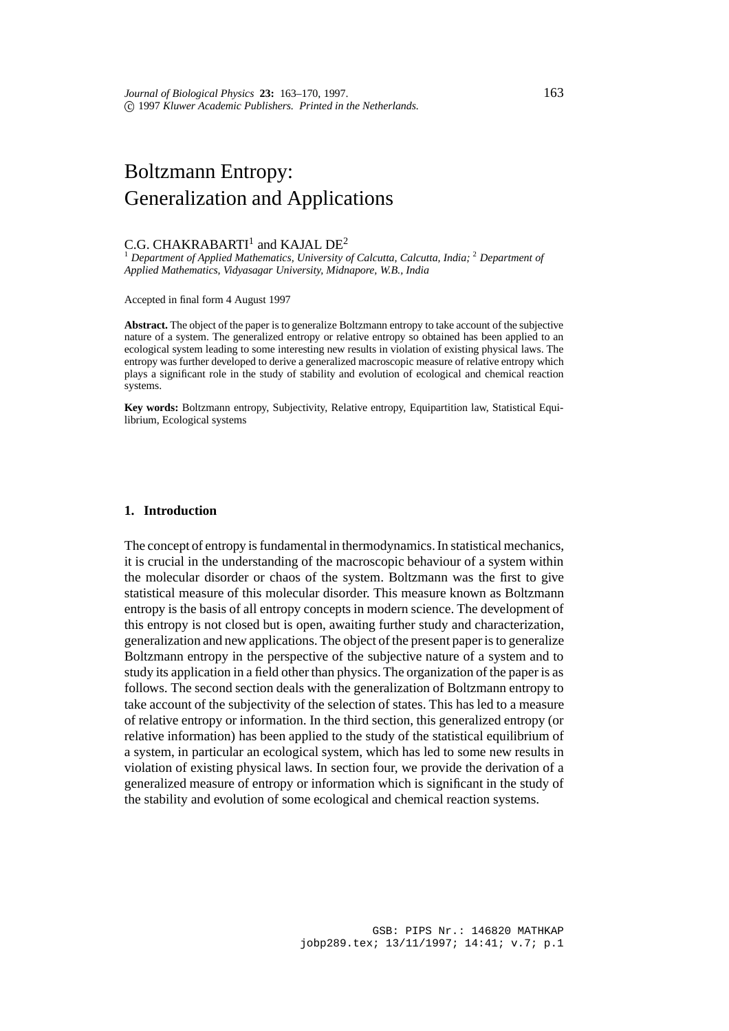# Boltzmann Entropy: Generalization and Applications

## C.G. CHAKRABARTI<sup>1</sup> and KAJAL DE<sup>2</sup>

<sup>1</sup> Department of Applied Mathematics, University of Calcutta, Calcutta, India; <sup>2</sup> Department of *Applied Mathematics, Vidyasagar University, Midnapore, W.B., India*

Accepted in final form 4 August 1997

**Abstract.** The object of the paper is to generalize Boltzmann entropy to take account of the subjective nature of a system. The generalized entropy or relative entropy so obtained has been applied to an ecological system leading to some interesting new results in violation of existing physical laws. The entropy was further developed to derive a generalized macroscopic measure of relative entropy which plays a significant role in the study of stability and evolution of ecological and chemical reaction systems.

**Key words:** Boltzmann entropy, Subjectivity, Relative entropy, Equipartition law, Statistical Equilibrium, Ecological systems

## **1. Introduction**

The concept of entropy is fundamental in thermodynamics. In statistical mechanics, it is crucial in the understanding of the macroscopic behaviour of a system within the molecular disorder or chaos of the system. Boltzmann was the first to give statistical measure of this molecular disorder. This measure known as Boltzmann entropy is the basis of all entropy concepts in modern science. The development of this entropy is not closed but is open, awaiting further study and characterization, generalization and new applications. The object of the present paper is to generalize Boltzmann entropy in the perspective of the subjective nature of a system and to study its application in a field other than physics. The organization of the paper is as follows. The second section deals with the generalization of Boltzmann entropy to take account of the subjectivity of the selection of states. This has led to a measure of relative entropy or information. In the third section, this generalized entropy (or relative information) has been applied to the study of the statistical equilibrium of a system, in particular an ecological system, which has led to some new results in violation of existing physical laws. In section four, we provide the derivation of a generalized measure of entropy or information which is significant in the study of the stability and evolution of some ecological and chemical reaction systems.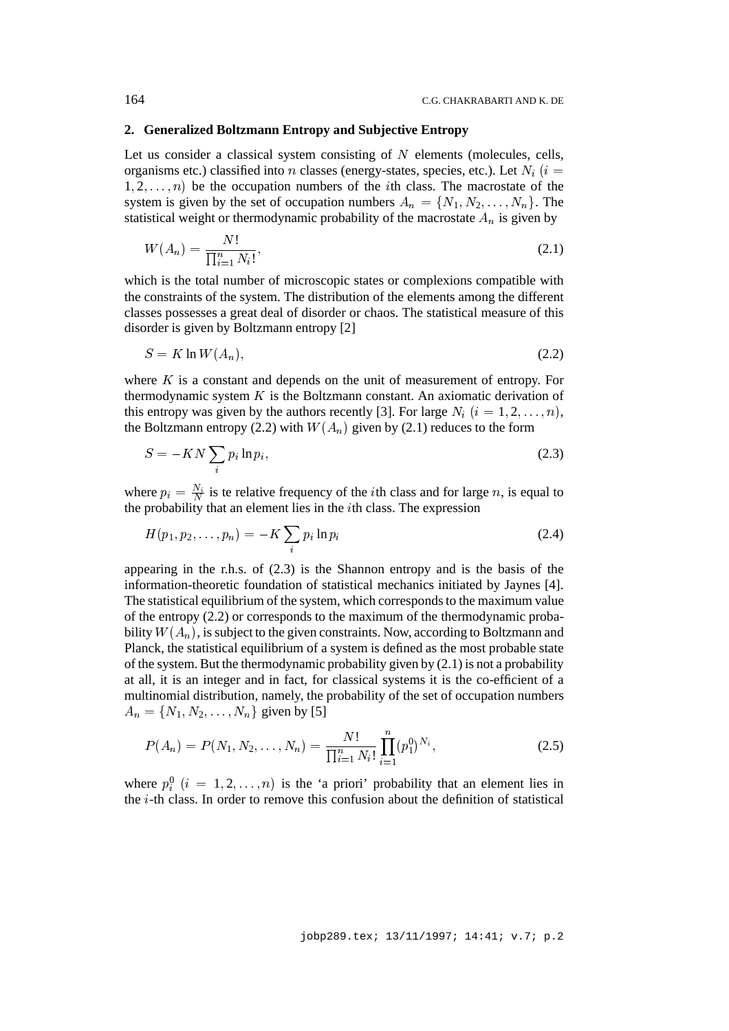#### **2. Generalized Boltzmann Entropy and Subjective Entropy**

Let us consider a classical system consisting of  $N$  elements (molecules, cells, organisms etc.) classified into n classes (energy-states, species, etc.). Let  $N_i$  (i =  $1, 2, \ldots, n$  be the occupation numbers of the *i*th class. The macrostate of the system is given by the set of occupation numbers  $A_n = \{N_1, N_2, \ldots, N_n\}$ . The statistical weight or thermodynamic probability of the macrostate  $A_n$  is given by

$$
W(A_n) = \frac{N!}{\prod_{i=1}^n N_i!},\tag{2.1}
$$

which is the total number of microscopic states or complexions compatible with the constraints of the system. The distribution of the elements among the different classes possesses a great deal of disorder or chaos. The statistical measure of this disorder is given by Boltzmann entropy [2]

$$
S = K \ln W(A_n),\tag{2.2}
$$

where  $K$  is a constant and depends on the unit of measurement of entropy. For thermodynamic system  $K$  is the Boltzmann constant. An axiomatic derivation of this entropy was given by the authors recently [3]. For large  $N_i$  ( $i = 1, 2, \ldots, n$ ), the Boltzmann entropy (2.2) with  $W(A_n)$  given by (2.1) reduces to the form

$$
S = -KN \sum_{i} p_i \ln p_i, \tag{2.3}
$$

where  $p_i = \frac{N_i}{N}$  is te relative frequency of the *i*th class and for large *n*, is equal to the probability that an element lies in the *th class. The expression* 

$$
H(p_1, p_2, \dots, p_n) = -K \sum_i p_i \ln p_i \tag{2.4}
$$

appearing in the r.h.s. of (2.3) is the Shannon entropy and is the basis of the information-theoretic foundation of statistical mechanics initiated by Jaynes [4]. The statistical equilibrium of the system, which corresponds to the maximum value of the entropy (2.2) or corresponds to the maximum of the thermodynamic probability  $W(A_n)$ , is subject to the given constraints. Now, according to Boltzmann and Planck, the statistical equilibrium of a system is defined as the most probable state of the system. But the thermodynamic probability given by (2.1) is not a probability at all, it is an integer and in fact, for classical systems it is the co-efficient of a multinomial distribution, namely, the probability of the set of occupation numbers  $A_n = \{N_1, N_2, \ldots, N_n\}$  given by [5]

$$
P(A_n) = P(N_1, N_2, \dots, N_n) = \frac{N!}{\prod_{i=1}^n N_i!} \prod_{i=1}^n (p_1^0)^{N_i},
$$
\n(2.5)

where  $p_i^0$   $(i = 1, 2, ..., n)$  is the 'a priori' probability that an element lies in the  $i$ -th class. In order to remove this confusion about the definition of statistical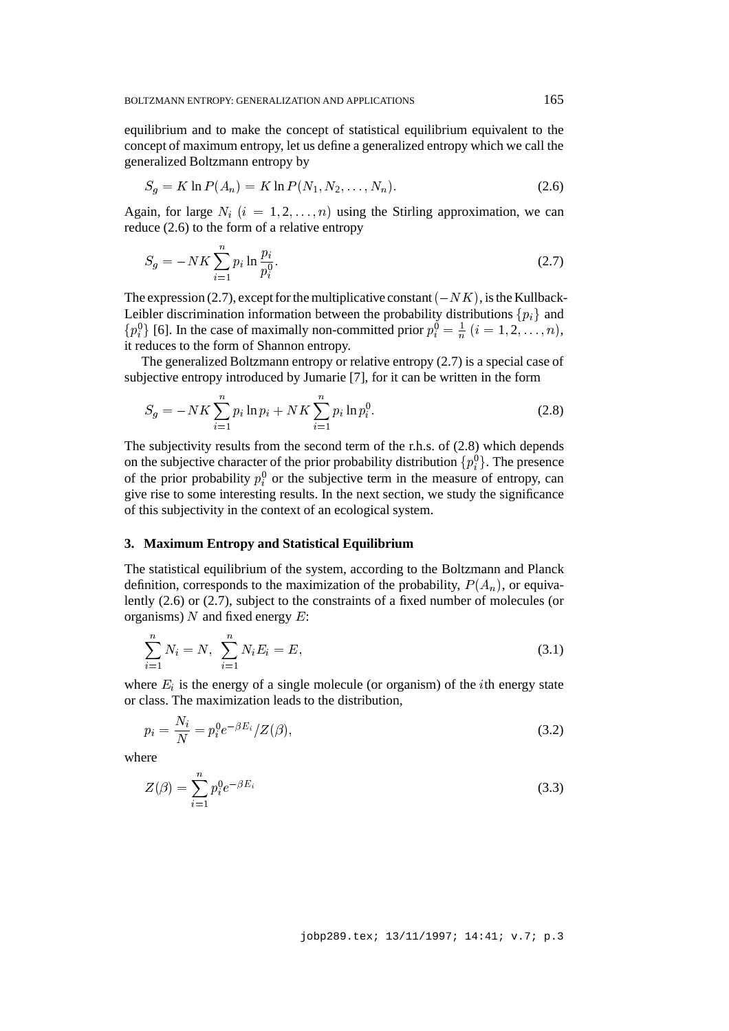equilibrium and to make the concept of statistical equilibrium equivalent to the concept of maximum entropy, let us define a generalized entropy which we call the generalized Boltzmann entropy by

$$
S_g = K \ln P(A_n) = K \ln P(N_1, N_2, \dots, N_n). \tag{2.6}
$$

Again, for large  $N_i$   $(i = 1, 2, \ldots, n)$  using the Stirling approximation, we can reduce (2.6) to the form of a relative entropy

$$
S_g = -NK \sum_{i=1}^{n} p_i \ln \frac{p_i}{p_i^0}.
$$
 (2.7)

The expression (2.7), except for the multiplicative constant  $(-NK)$ , is the Kullback-Leibler discrimination information between the probability distributions  $\{p_i\}$  and  ${p_i^0}$  [6]. In the case of maximally non-committed prior  $p_i^0 = \frac{1}{n}$   $(i = 1, 2, \ldots, n)$ , it reduces to the form of Shannon entropy. n

The generalized Boltzmann entropy or relative entropy (2.7) is a special case of subjective entropy introduced by Jumarie [7], for it can be written in the form

$$
S_g = -NK \sum_{i=1}^{n} p_i \ln p_i + NK \sum_{i=1}^{n} p_i \ln p_i^0.
$$
 (2.8)

The subjectivity results from the second term of the r.h.s. of (2.8) which depends on the subjective character of the prior probability distribution  $\{p_i^0\}$ . The presence of the prior probability  $p_i^0$  or the subjective term in the measure of entropy, can give rise to some interesting results. In the next section, we study the significance of this subjectivity in the context of an ecological system.

## **3. Maximum Entropy and Statistical Equilibrium**

The statistical equilibrium of the system, according to the Boltzmann and Planck definition, corresponds to the maximization of the probability,  $P(A_n)$ , or equivalently (2.6) or (2.7), subject to the constraints of a fixed number of molecules (or organisms)  $N$  and fixed energy  $E$ :

$$
\sum_{i=1}^{n} N_i = N, \ \sum_{i=1}^{n} N_i E_i = E,\tag{3.1}
$$

where  $E_i$  is the energy of a single molecule (or organism) of the *i*th energy state or class. The maximization leads to the distribution,

$$
p_i = \frac{N_i}{N} = p_i^0 e^{-\beta E_i} / Z(\beta),
$$
\n(3.2)

where

$$
Z(\beta) = \sum_{i=1}^{n} p_i^0 e^{-\beta E_i}
$$
 (3.3)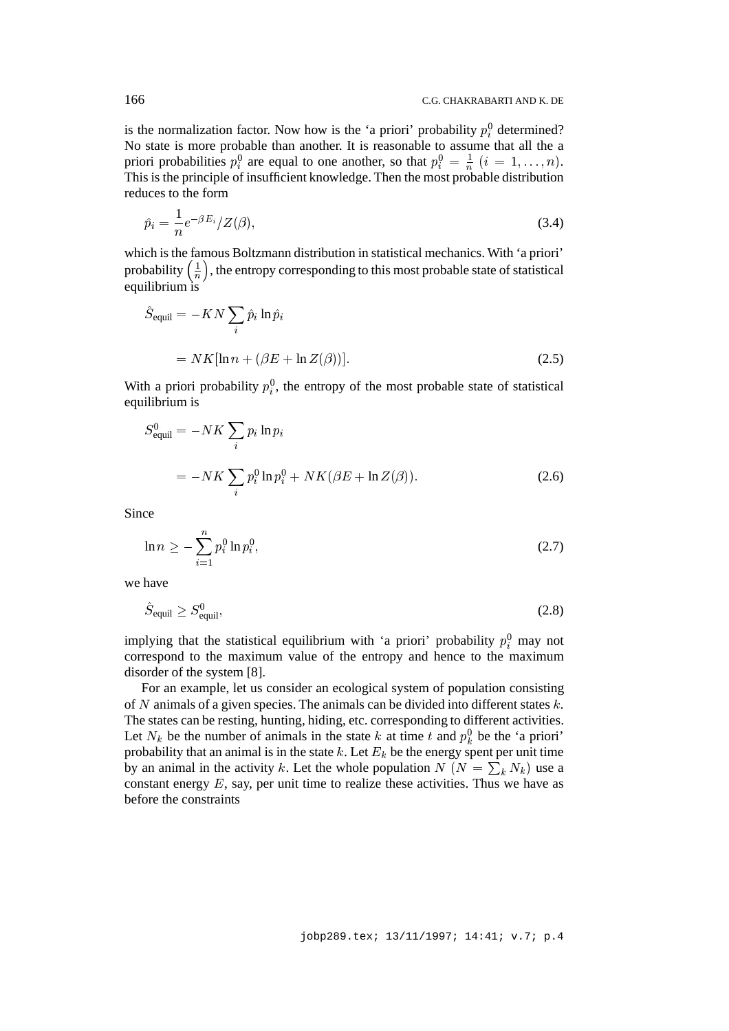is the normalization factor. Now how is the 'a priori' probability  $p_i^0$  determined? No state is more probable than another. It is reasonable to assume that all the a priori probabilities  $p_i^0$  are equal to one another, so that  $p_i^0 = \frac{1}{n}$   $(i = 1, \ldots, n)$ . This is the principle of insufficient knowledge. Then the most probable distribution reduces to the form

$$
\hat{p}_i = \frac{1}{n} e^{-\beta E_i} / Z(\beta),\tag{3.4}
$$

which is the famous Boltzmann distribution in statistical mechanics. With 'a priori' probability  $\left(\frac{1}{n}\right)$ , the entropy corresponding to this most probable state of statistical nequilibrium is

$$
\hat{S}_{\text{equil}} = -KN \sum_{i} \hat{p}_i \ln \hat{p}_i
$$
  
=  $NK[\ln n + (\beta E + \ln Z(\beta))].$  (2.5)

With a priori probability  $p_i^0$ , the entropy of the most probable state of statistical iequilibrium is

$$
S_{\text{equil}}^{0} = -NK \sum_{i} p_i \ln p_i
$$
  
= 
$$
-NK \sum_{i} p_i^{0} \ln p_i^{0} + NK(\beta E + \ln Z(\beta)).
$$
 (2.6)

Since

$$
\ln n \ge -\sum_{i=1}^{n} p_i^0 \ln p_i^0, \tag{2.7}
$$

we have

$$
\hat{S}_{\text{equil}} \ge S_{\text{equil}}^0,\tag{2.8}
$$

implying that the statistical equilibrium with 'a priori' probability  $p_i^0$  may not i correspond to the maximum value of the entropy and hence to the maximum disorder of the system [8].

For an example, let us consider an ecological system of population consisting of N animals of a given species. The animals can be divided into different states  $k$ . The states can be resting, hunting, hiding, etc. corresponding to different activities. Let  $N_k$  be the number of animals in the state k at time t and  $p_k^0$  be the 'a priori' probability that an animal is in the state k. Let  $E_k$  be the energy spent per unit time by an animal in the activity k. Let the whole population  $N(N = \sum_{k} N_k)$  use a  $\cdot$  . constant energy  $E$ , say, per unit time to realize these activities. Thus we have as before the constraints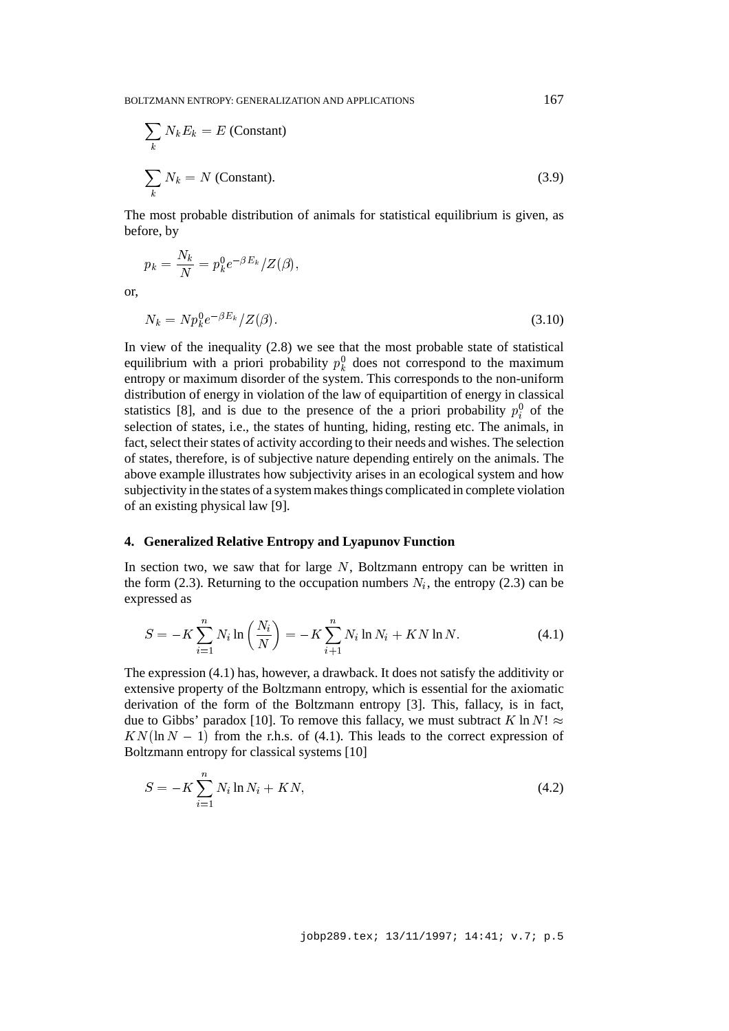$$
\sum_{k} N_{k} E_{k} = E \text{ (Constant)}
$$
\n
$$
\sum_{k} N_{k} = N \text{ (Constant)}.
$$
\n(3.9)

The most probable distribution of animals for statistical equilibrium is given, as before, by

$$
p_k = \frac{N_k}{N} = p_k^0 e^{-\beta E_k} / Z(\beta),
$$
  

$$
N_k = N p_k^0 e^{-\beta E_k} / Z(\beta).
$$
 (3.10)

or,

In view of the inequality (2.8) we see that the most probable state of statistical equilibrium with a priori probability  $p_k^0$  does not correspond to the maximum  $\cdot$   $$ entropy or maximum disorder of the system. This corresponds to the non-uniform distribution of energy in violation of the law of equipartition of energy in classical statistics [8], and is due to the presence of the a priori probability  $p_i^0$  of the selection of states, i.e., the states of hunting, hiding, resting etc. The animals, in fact, select their states of activity according to their needs and wishes. The selection of states, therefore, is of subjective nature depending entirely on the animals. The above example illustrates how subjectivity arises in an ecological system and how subjectivity in the states of a system makes things complicated in complete violation of an existing physical law [9].

#### **4. Generalized Relative Entropy and Lyapunov Function**

In section two, we saw that for large  $N$ , Boltzmann entropy can be written in the form (2.3). Returning to the occupation numbers  $N_i$ , the entropy (2.3) can be expressed as

$$
S = -K \sum_{i=1}^{n} N_i \ln \left( \frac{N_i}{N} \right) = -K \sum_{i=1}^{n} N_i \ln N_i + KN \ln N. \tag{4.1}
$$

The expression (4.1) has, however, a drawback. It does not satisfy the additivity or extensive property of the Boltzmann entropy, which is essential for the axiomatic derivation of the form of the Boltzmann entropy [3]. This, fallacy, is in fact, due to Gibbs' paradox [10]. To remove this fallacy, we must subtract K ln N!  $\approx$  $KN(\ln N - 1)$  from the r.h.s. of (4.1). This leads to the correct expression of Boltzmann entropy for classical systems [10]

$$
S = -K \sum_{i=1}^{n} N_i \ln N_i + KN,
$$
\n(4.2)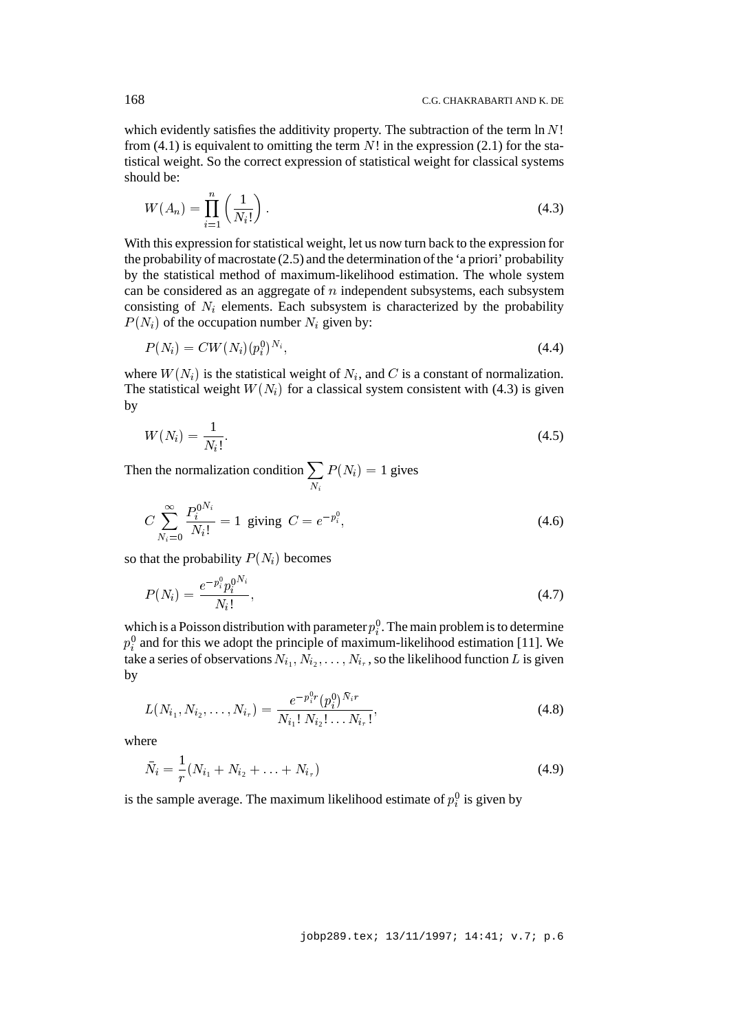which evidently satisfies the additivity property. The subtraction of the term  $\ln N!$ from (4.1) is equivalent to omitting the term  $N!$  in the expression (2.1) for the statistical weight. So the correct expression of statistical weight for classical systems should be:

$$
W(A_n) = \prod_{i=1}^n \left(\frac{1}{N_i!}\right). \tag{4.3}
$$

With this expression for statistical weight, let us now turn back to the expression for the probability of macrostate (2.5) and the determination of the 'a priori' probability by the statistical method of maximum-likelihood estimation. The whole system can be considered as an aggregate of  $n$  independent subsystems, each subsystem consisting of  $N_i$  elements. Each subsystem is characterized by the probability  $P(N_i)$  of the occupation number  $N_i$  given by:

$$
P(N_i) = CW(N_i)(p_i^0)^{N_i},
$$
\n(4.4)

where  $W(N_i)$  is the statistical weight of  $N_i$ , and C is a constant of normalization. The statistical weight  $W(N_i)$  for a classical system consistent with (4.3) is given by

$$
W(N_i) = \frac{1}{N_i!}.\tag{4.5}
$$

Then the normalization condition  $\sum_{N_i} P(N_i) = 1$  gives

$$
C\sum_{N_i=0}^{\infty} \frac{P_i^{0^{N_i}}}{N_i!} = 1 \text{ giving } C = e^{-p_i^0},\tag{4.6}
$$

so that the probability  $P(N_i)$  becomes

$$
P(N_i) = \frac{e^{-p_i^0} p_i^{0^{N_i}}}{N_i!},
$$
\n(4.7)

which is a Poisson distribution with parameter  $p_i^0$ . The main problem is to determine  $p_i^0$  and for this we adopt the principle of maximum-likelihood estimation [11]. We take a series of observations  $N_{i_1}, N_{i_2}, \ldots, N_{i_r}$ , so the likelihood function  $L$  is given by

$$
L(N_{i_1}, N_{i_2}, \dots, N_{i_r}) = \frac{e^{-p_i^0 r}(p_i^0)^{\bar{N}_i r}}{N_{i_1}! N_{i_2}! \dots N_{i_r}!},
$$
\n(4.8)

where

$$
\bar{N}_i = \frac{1}{r}(N_{i_1} + N_{i_2} + \ldots + N_{i_r})
$$
\n(4.9)

is the sample average. The maximum likelihood estimate of  $p_i^0$  is given by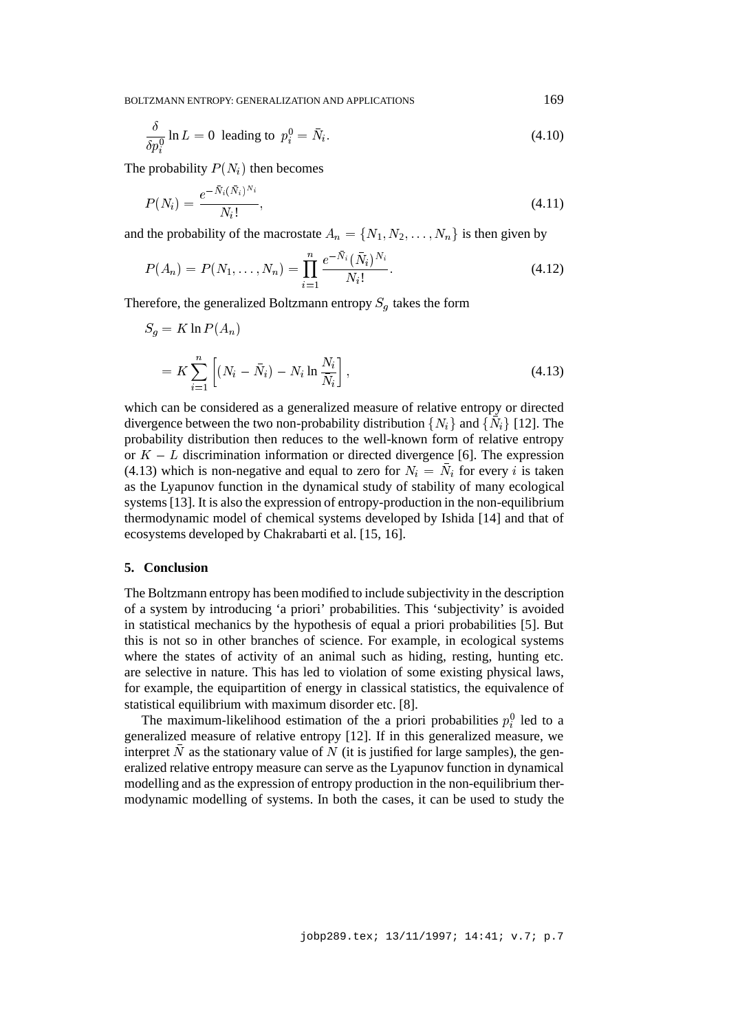$$
\frac{\delta}{\delta p_i^0} \ln L = 0
$$
 leading to  $p_i^0 = \bar{N}_i$ . (4.10)

The probability  $P(N_i)$  then becomes

$$
P(N_i) = \frac{e^{-\bar{N}_i(\bar{N}_i)^{N_i}}}{N_i!},
$$
\n(4.11)

and the probability of the macrostate  $A_n = \{N_1, N_2, \ldots, N_n\}$  is then given by

$$
P(A_n) = P(N_1, \dots, N_n) = \prod_{i=1}^n \frac{e^{-\bar{N}_i} (\bar{N}_i)^{N_i}}{N_i!}.
$$
\n(4.12)

Therefore, the generalized Boltzmann entropy  $S_g$  takes the form

$$
S_g = K \ln P(A_n)
$$
  
=  $K \sum_{i=1}^n \left[ (N_i - \bar{N}_i) - N_i \ln \frac{N_i}{\bar{N}_i} \right],$  (4.13)

which can be considered as a generalized measure of relative entropy or directed divergence between the two non-probability distribution  $\{N_i\}$  and  $\{N_i\}$  [12]. The probability distribution then reduces to the well-known form of relative entropy or  $K - L$  discrimination information or directed divergence [6]. The expression (4.13) which is non-negative and equal to zero for  $N_i = N_i$  for every i is taken as the Lyapunov function in the dynamical study of stability of many ecological systems [13]. It is also the expression of entropy-production in the non-equilibrium thermodynamic model of chemical systems developed by Ishida [14] and that of ecosystems developed by Chakrabarti et al. [15, 16].

## **5. Conclusion**

The Boltzmann entropy has been modified to include subjectivity in the description of a system by introducing 'a priori' probabilities. This 'subjectivity' is avoided in statistical mechanics by the hypothesis of equal a priori probabilities [5]. But this is not so in other branches of science. For example, in ecological systems where the states of activity of an animal such as hiding, resting, hunting etc. are selective in nature. This has led to violation of some existing physical laws, for example, the equipartition of energy in classical statistics, the equivalence of statistical equilibrium with maximum disorder etc. [8].

The maximum-likelihood estimation of the a priori probabilities  $p_i^0$  led to a generalized measure of relative entropy [12]. If in this generalized measure, we interpret N as the stationary value of N (it is justified for large samples), the generalized relative entropy measure can serve as the Lyapunov function in dynamical modelling and as the expression of entropy production in the non-equilibrium thermodynamic modelling of systems. In both the cases, it can be used to study the